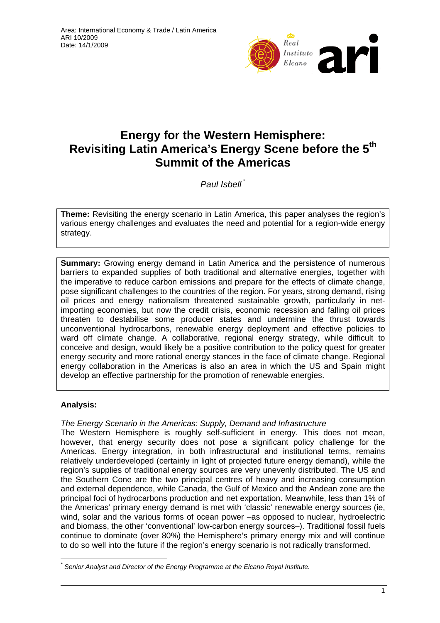

# **Energy for the Western Hemisphere: Revisiting Latin America's Energy Scene before the 5th Summit of the Americas**

*Paul Isbell* \*

**Theme:** Revisiting the energy scenario in Latin America, this paper analyses the region's various energy challenges and evaluates the need and potential for a region-wide energy strategy.

**Summary:** Growing energy demand in Latin America and the persistence of numerous barriers to expanded supplies of both traditional and alternative energies, together with the imperative to reduce carbon emissions and prepare for the effects of climate change, pose significant challenges to the countries of the region. For years, strong demand, rising oil prices and energy nationalism threatened sustainable growth, particularly in netimporting economies, but now the credit crisis, economic recession and falling oil prices threaten to destabilise some producer states and undermine the thrust towards unconventional hydrocarbons, renewable energy deployment and effective policies to ward off climate change. A collaborative, regional energy strategy, while difficult to conceive and design, would likely be a positive contribution to the policy quest for greater energy security and more rational energy stances in the face of climate change. Regional energy collaboration in the Americas is also an area in which the US and Spain might develop an effective partnership for the promotion of renewable energies.

## **Analysis:**

### *The Energy Scenario in the Americas: Supply, Demand and Infrastructure*

The Western Hemisphere is roughly self-sufficient in energy. This does not mean, however, that energy security does not pose a significant policy challenge for the Americas. Energy integration, in both infrastructural and institutional terms, remains relatively underdeveloped (certainly in light of projected future energy demand), while the region's supplies of traditional energy sources are very unevenly distributed. The US and the Southern Cone are the two principal centres of heavy and increasing consumption and external dependence, while Canada, the Gulf of Mexico and the Andean zone are the principal foci of hydrocarbons production and net exportation. Meanwhile, less than 1% of the Americas' primary energy demand is met with 'classic' renewable energy sources (ie, wind, solar and the various forms of ocean power –as opposed to nuclear, hydroelectric and biomass, the other 'conventional' low-carbon energy sources–). Traditional fossil fuels continue to dominate (over 80%) the Hemisphere's primary energy mix and will continue to do so well into the future if the region's energy scenario is not radically transformed.

 $\overline{a}$ *\* Senior Analyst and Director of the Energy Programme at the Elcano Royal Institute.*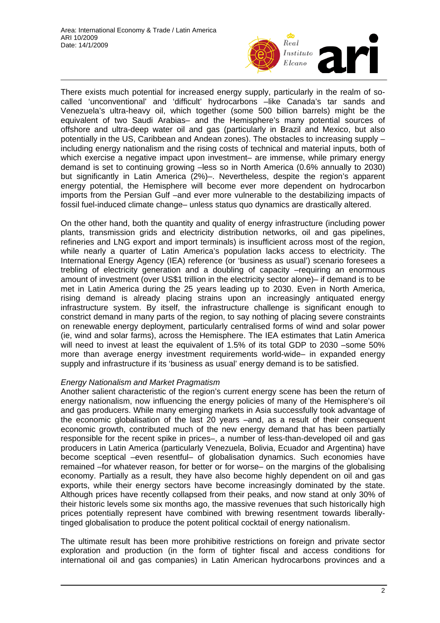

There exists much potential for increased energy supply, particularly in the realm of socalled 'unconventional' and 'difficult' hydrocarbons –like Canada's tar sands and Venezuela's ultra-heavy oil, which together (some 500 billion barrels) might be the equivalent of two Saudi Arabias– and the Hemisphere's many potential sources of offshore and ultra-deep water oil and gas (particularly in Brazil and Mexico, but also potentially in the US, Caribbean and Andean zones). The obstacles to increasing supply – including energy nationalism and the rising costs of technical and material inputs, both of which exercise a negative impact upon investment– are immense, while primary energy demand is set to continuing growing –less so in North America (0.6% annually to 2030) but significantly in Latin America (2%)–. Nevertheless, despite the region's apparent energy potential, the Hemisphere will become ever more dependent on hydrocarbon imports from the Persian Gulf –and ever more vulnerable to the destabilizing impacts of fossil fuel-induced climate change– unless status quo dynamics are drastically altered.

On the other hand, both the quantity and quality of energy infrastructure (including power plants, transmission grids and electricity distribution networks, oil and gas pipelines, refineries and LNG export and import terminals) is insufficient across most of the region, while nearly a quarter of Latin America's population lacks access to electricity. The International Energy Agency (IEA) reference (or 'business as usual') scenario foresees a trebling of electricity generation and a doubling of capacity –requiring an enormous amount of investment (over US\$1 trillion in the electricity sector alone)– if demand is to be met in Latin America during the 25 years leading up to 2030. Even in North America, rising demand is already placing strains upon an increasingly antiquated energy infrastructure system. By itself, the infrastructure challenge is significant enough to constrict demand in many parts of the region, to say nothing of placing severe constraints on renewable energy deployment, particularly centralised forms of wind and solar power (ie, wind and solar farms), across the Hemisphere. The IEA estimates that Latin America will need to invest at least the equivalent of 1.5% of its total GDP to 2030 –some 50% more than average energy investment requirements world-wide– in expanded energy supply and infrastructure if its 'business as usual' energy demand is to be satisfied.

### *Energy Nationalism and Market Pragmatism*

Another salient characteristic of the region's current energy scene has been the return of energy nationalism, now influencing the energy policies of many of the Hemisphere's oil and gas producers. While many emerging markets in Asia successfully took advantage of the economic globalisation of the last 20 years –and, as a result of their consequent economic growth, contributed much of the new energy demand that has been partially responsible for the recent spike in prices–, a number of less-than-developed oil and gas producers in Latin America (particularly Venezuela, Bolivia, Ecuador and Argentina) have become sceptical –even resentful– of globalisation dynamics. Such economies have remained –for whatever reason, for better or for worse– on the margins of the globalising economy. Partially as a result, they have also become highly dependent on oil and gas exports, while their energy sectors have become increasingly dominated by the state. Although prices have recently collapsed from their peaks, and now stand at only 30% of their historic levels some six months ago, the massive revenues that such historically high prices potentially represent have combined with brewing resentment towards liberallytinged globalisation to produce the potent political cocktail of energy nationalism.

The ultimate result has been more prohibitive restrictions on foreign and private sector exploration and production (in the form of tighter fiscal and access conditions for international oil and gas companies) in Latin American hydrocarbons provinces and a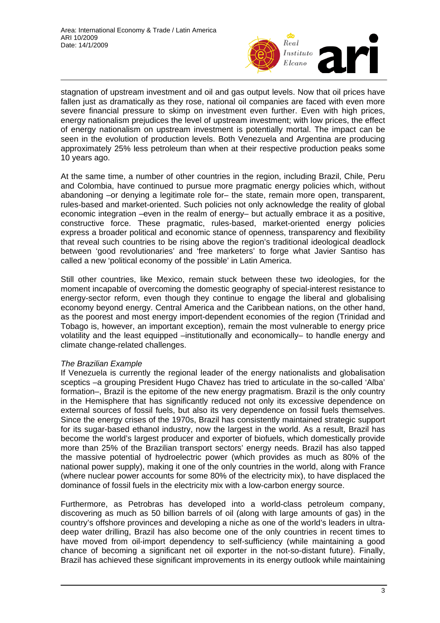

stagnation of upstream investment and oil and gas output levels. Now that oil prices have fallen just as dramatically as they rose, national oil companies are faced with even more severe financial pressure to skimp on investment even further. Even with high prices, energy nationalism prejudices the level of upstream investment; with low prices, the effect of energy nationalism on upstream investment is potentially mortal. The impact can be seen in the evolution of production levels. Both Venezuela and Argentina are producing approximately 25% less petroleum than when at their respective production peaks some 10 years ago.

At the same time, a number of other countries in the region, including Brazil, Chile, Peru and Colombia, have continued to pursue more pragmatic energy policies which, without abandoning –or denying a legitimate role for– the state, remain more open, transparent, rules-based and market-oriented. Such policies not only acknowledge the reality of global economic integration –even in the realm of energy– but actually embrace it as a positive, constructive force. These pragmatic, rules-based, market-oriented energy policies express a broader political and economic stance of openness, transparency and flexibility that reveal such countries to be rising above the region's traditional ideological deadlock between 'good revolutionaries' and 'free marketers' to forge what Javier Santiso has called a new 'political economy of the possible' in Latin America.

Still other countries, like Mexico, remain stuck between these two ideologies, for the moment incapable of overcoming the domestic geography of special-interest resistance to energy-sector reform, even though they continue to engage the liberal and globalising economy beyond energy. Central America and the Caribbean nations, on the other hand, as the poorest and most energy import-dependent economies of the region (Trinidad and Tobago is, however, an important exception), remain the most vulnerable to energy price volatility and the least equipped –institutionally and economically– to handle energy and climate change-related challenges.

### *The Brazilian Example*

If Venezuela is currently the regional leader of the energy nationalists and globalisation sceptics –a grouping President Hugo Chavez has tried to articulate in the so-called 'Alba' formation–, Brazil is the epitome of the new energy pragmatism. Brazil is the only country in the Hemisphere that has significantly reduced not only its excessive dependence on external sources of fossil fuels, but also its very dependence on fossil fuels themselves. Since the energy crises of the 1970s, Brazil has consistently maintained strategic support for its sugar-based ethanol industry, now the largest in the world. As a result, Brazil has become the world's largest producer and exporter of biofuels, which domestically provide more than 25% of the Brazilian transport sectors' energy needs. Brazil has also tapped the massive potential of hydroelectric power (which provides as much as 80% of the national power supply), making it one of the only countries in the world, along with France (where nuclear power accounts for some 80% of the electricity mix), to have displaced the dominance of fossil fuels in the electricity mix with a low-carbon energy source.

Furthermore, as Petrobras has developed into a world-class petroleum company, discovering as much as 50 billion barrels of oil (along with large amounts of gas) in the country's offshore provinces and developing a niche as one of the world's leaders in ultradeep water drilling, Brazil has also become one of the only countries in recent times to have moved from oil-import dependency to self-sufficiency (while maintaining a good chance of becoming a significant net oil exporter in the not-so-distant future). Finally, Brazil has achieved these significant improvements in its energy outlook while maintaining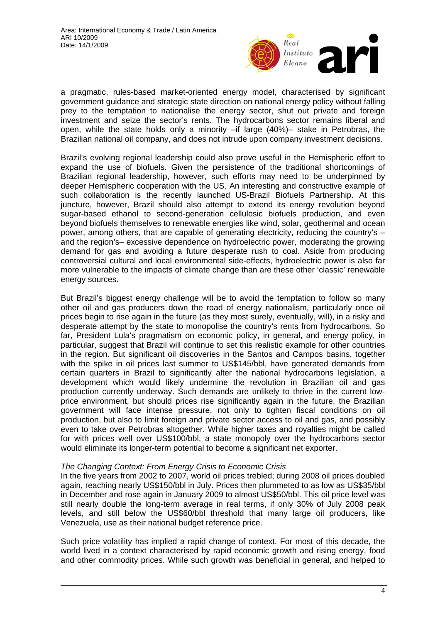

a pragmatic, rules-based market-oriented energy model, characterised by significant government guidance and strategic state direction on national energy policy without falling prey to the temptation to nationalise the energy sector, shut out private and foreign investment and seize the sector's rents. The hydrocarbons sector remains liberal and open, while the state holds only a minority –if large (40%)– stake in Petrobras, the Brazilian national oil company, and does not intrude upon company investment decisions.

Brazil's evolving regional leadership could also prove useful in the Hemispheric effort to expand the use of biofuels. Given the persistence of the traditional shortcomings of Brazilian regional leadership, however, such efforts may need to be underpinned by deeper Hemispheric cooperation with the US. An interesting and constructive example of such collaboration is the recently launched US-Brazil Biofuels Partnership. At this juncture, however, Brazil should also attempt to extend its energy revolution beyond sugar-based ethanol to second-generation cellulosic biofuels production, and even beyond biofuels themselves to renewable energies like wind, solar, geothermal and ocean power, among others, that are capable of generating electricity, reducing the country's  $$ and the region's– excessive dependence on hydroelectric power, moderating the growing demand for gas and avoiding a future desperate rush to coal. Aside from producing controversial cultural and local environmental side-effects, hydroelectric power is also far more vulnerable to the impacts of climate change than are these other 'classic' renewable energy sources.

But Brazil's biggest energy challenge will be to avoid the temptation to follow so many other oil and gas producers down the road of energy nationalism, particularly once oil prices begin to rise again in the future (as they most surely, eventually, will), in a risky and desperate attempt by the state to monopolise the country's rents from hydrocarbons. So far, President Lula's pragmatism on economic policy, in general, and energy policy, in particular, suggest that Brazil will continue to set this realistic example for other countries in the region. But significant oil discoveries in the Santos and Campos basins, together with the spike in oil prices last summer to US\$145/bbl, have generated demands from certain quarters in Brazil to significantly alter the national hydrocarbons legislation, a development which would likely undermine the revolution in Brazilian oil and gas production currently underway. Such demands are unlikely to thrive in the current lowprice environment, but should prices rise significantly again in the future, the Brazilian government will face intense pressure, not only to tighten fiscal conditions on oil production, but also to limit foreign and private sector access to oil and gas, and possibly even to take over Petrobras altogether. While higher taxes and royalties might be called for with prices well over US\$100/bbl, a state monopoly over the hydrocarbons sector would eliminate its longer-term potential to become a significant net exporter.

### *The Changing Context: From Energy Crisis to Economic Crisis*

In the five years from 2002 to 2007, world oil prices trebled; during 2008 oil prices doubled again, reaching nearly US\$150/bbl in July. Prices then plummeted to as low as US\$35/bbl in December and rose again in January 2009 to almost US\$50/bbl. This oil price level was still nearly double the long-term average in real terms, if only 30% of July 2008 peak levels, and still below the US\$60/bbl threshold that many large oil producers, like Venezuela, use as their national budget reference price.

Such price volatility has implied a rapid change of context. For most of this decade, the world lived in a context characterised by rapid economic growth and rising energy, food and other commodity prices. While such growth was beneficial in general, and helped to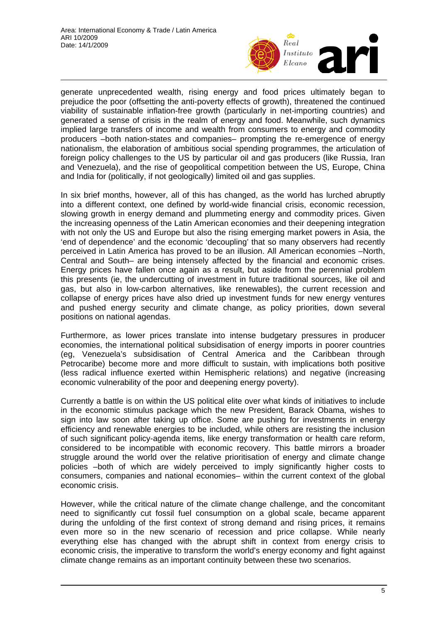

generate unprecedented wealth, rising energy and food prices ultimately began to prejudice the poor (offsetting the anti-poverty effects of growth), threatened the continued viability of sustainable inflation-free growth (particularly in net-importing countries) and generated a sense of crisis in the realm of energy and food. Meanwhile, such dynamics implied large transfers of income and wealth from consumers to energy and commodity producers –both nation-states and companies– prompting the re-emergence of energy nationalism, the elaboration of ambitious social spending programmes, the articulation of foreign policy challenges to the US by particular oil and gas producers (like Russia, Iran and Venezuela), and the rise of geopolitical competition between the US, Europe, China and India for (politically, if not geologically) limited oil and gas supplies.

In six brief months, however, all of this has changed, as the world has lurched abruptly into a different context, one defined by world-wide financial crisis, economic recession, slowing growth in energy demand and plummeting energy and commodity prices. Given the increasing openness of the Latin American economies and their deepening integration with not only the US and Europe but also the rising emerging market powers in Asia, the 'end of dependence' and the economic 'decoupling' that so many observers had recently perceived in Latin America has proved to be an illusion. All American economies –North, Central and South– are being intensely affected by the financial and economic crises. Energy prices have fallen once again as a result, but aside from the perennial problem this presents (ie, the undercutting of investment in future traditional sources, like oil and gas, but also in low-carbon alternatives, like renewables), the current recession and collapse of energy prices have also dried up investment funds for new energy ventures and pushed energy security and climate change, as policy priorities, down several positions on national agendas.

Furthermore, as lower prices translate into intense budgetary pressures in producer economies, the international political subsidisation of energy imports in poorer countries (eg, Venezuela's subsidisation of Central America and the Caribbean through Petrocaribe) become more and more difficult to sustain, with implications both positive (less radical influence exerted within Hemispheric relations) and negative (increasing economic vulnerability of the poor and deepening energy poverty).

Currently a battle is on within the US political elite over what kinds of initiatives to include in the economic stimulus package which the new President, Barack Obama, wishes to sign into law soon after taking up office. Some are pushing for investments in energy efficiency and renewable energies to be included, while others are resisting the inclusion of such significant policy-agenda items, like energy transformation or health care reform, considered to be incompatible with economic recovery. This battle mirrors a broader struggle around the world over the relative prioritisation of energy and climate change policies –both of which are widely perceived to imply significantly higher costs to consumers, companies and national economies– within the current context of the global economic crisis.

However, while the critical nature of the climate change challenge, and the concomitant need to significantly cut fossil fuel consumption on a global scale, became apparent during the unfolding of the first context of strong demand and rising prices, it remains even more so in the new scenario of recession and price collapse. While nearly everything else has changed with the abrupt shift in context from energy crisis to economic crisis, the imperative to transform the world's energy economy and fight against climate change remains as an important continuity between these two scenarios.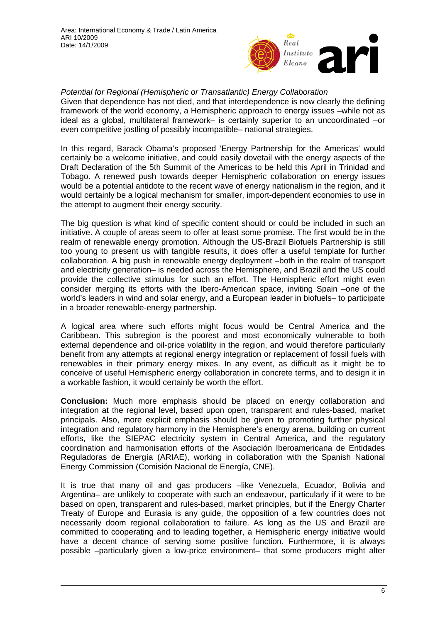

*Potential for Regional (Hemispheric or Transatlantic) Energy Collaboration*  Given that dependence has not died, and that interdependence is now clearly the defining framework of the world economy, a Hemispheric approach to energy issues –while not as ideal as a global, multilateral framework– is certainly superior to an uncoordinated –or even competitive jostling of possibly incompatible– national strategies.

In this regard, Barack Obama's proposed 'Energy Partnership for the Americas' would certainly be a welcome initiative, and could easily dovetail with the energy aspects of the Draft Declaration of the 5th Summit of the Americas to be held this April in Trinidad and Tobago. A renewed push towards deeper Hemispheric collaboration on energy issues would be a potential antidote to the recent wave of energy nationalism in the region, and it would certainly be a logical mechanism for smaller, import-dependent economies to use in the attempt to augment their energy security.

The big question is what kind of specific content should or could be included in such an initiative. A couple of areas seem to offer at least some promise. The first would be in the realm of renewable energy promotion. Although the US-Brazil Biofuels Partnership is still too young to present us with tangible results, it does offer a useful template for further collaboration. A big push in renewable energy deployment –both in the realm of transport and electricity generation– is needed across the Hemisphere, and Brazil and the US could provide the collective stimulus for such an effort. The Hemispheric effort might even consider merging its efforts with the Ibero-American space, inviting Spain –one of the world's leaders in wind and solar energy, and a European leader in biofuels– to participate in a broader renewable-energy partnership.

A logical area where such efforts might focus would be Central America and the Caribbean. This subregion is the poorest and most economically vulnerable to both external dependence and oil-price volatility in the region, and would therefore particularly benefit from any attempts at regional energy integration or replacement of fossil fuels with renewables in their primary energy mixes. In any event, as difficult as it might be to conceive of useful Hemispheric energy collaboration in concrete terms, and to design it in a workable fashion, it would certainly be worth the effort.

**Conclusion:** Much more emphasis should be placed on energy collaboration and integration at the regional level, based upon open, transparent and rules-based, market principals. Also, more explicit emphasis should be given to promoting further physical integration and regulatory harmony in the Hemisphere's energy arena, building on current efforts, like the SIEPAC electricity system in Central America, and the regulatory coordination and harmonisation efforts of the Asociación Iberoamericana de Entidades Reguladoras de Energía (ARIAE), working in collaboration with the Spanish National Energy Commission (Comisión Nacional de Energía, CNE).

It is true that many oil and gas producers –like Venezuela, Ecuador, Bolivia and Argentina– are unlikely to cooperate with such an endeavour, particularly if it were to be based on open, transparent and rules-based, market principles, but if the Energy Charter Treaty of Europe and Eurasia is any guide, the opposition of a few countries does not necessarily doom regional collaboration to failure. As long as the US and Brazil are committed to cooperating and to leading together, a Hemispheric energy initiative would have a decent chance of serving some positive function. Furthermore, it is always possible –particularly given a low-price environment– that some producers might alter